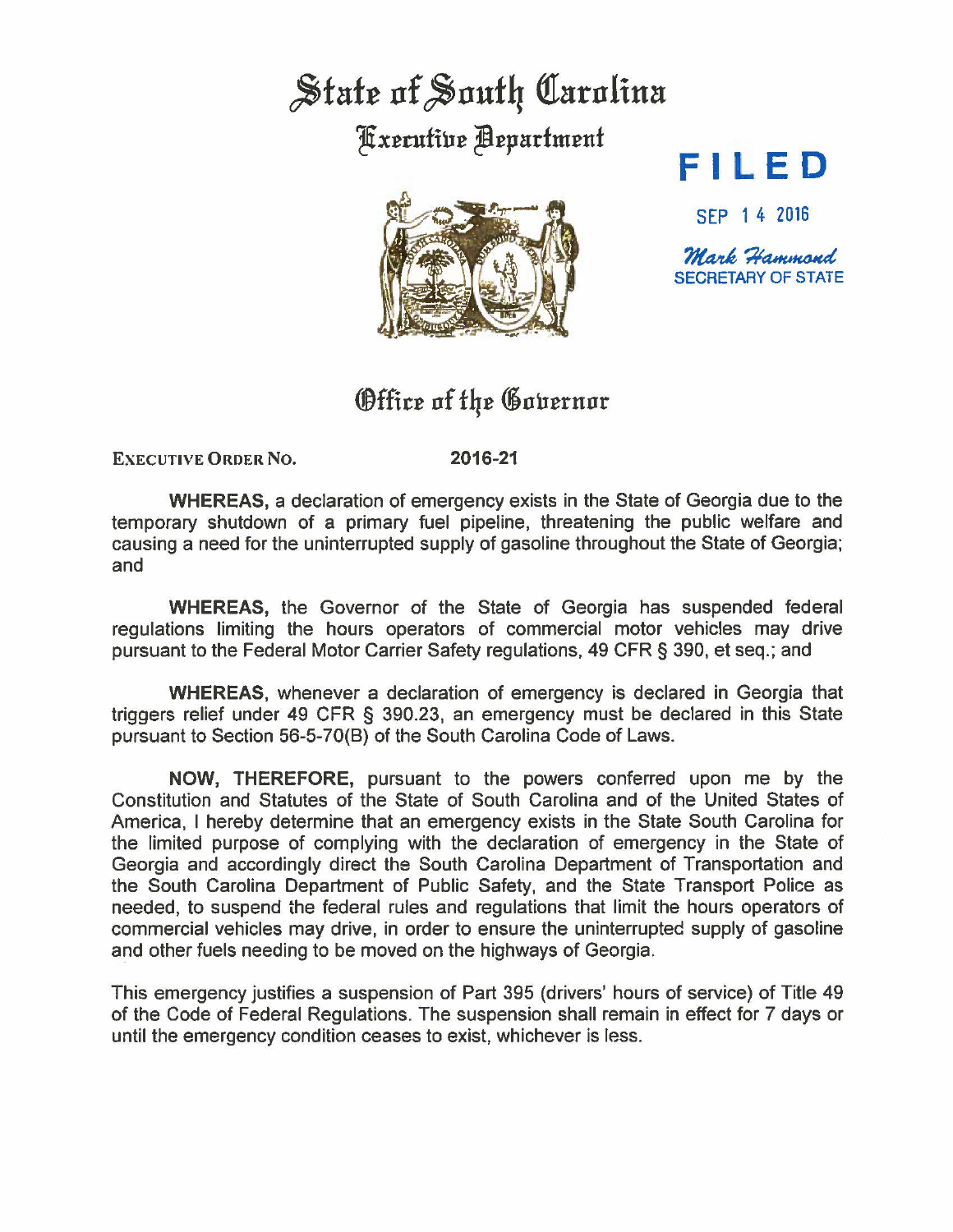## State of South Carolina **Kxecutive Bepartment**



## **FI L ED**

SEP 1 4 2016

Mark Hammond SECRETARY OF STATE

## Office of the Governor

**EXECUTIVE ORDER NO.** 

**2016-21** 

**WHEREAS,** a declaration of emergency exists in the State of Georgia due to the temporary shutdown of a primary fuel pipeline, threatening the public welfare and causing a need for the uninterrupted supply of gasoline throughout the State of Georgia; and

**WHEREAS,** the Governor of the State of Georgia has suspended federal regulations limiting the hours operators of commercial motor vehicles may drive pursuant to the Federal Motor Carrier Safety regulations, 49 CFR § 390, et seq.; and

**WHEREAS,** whenever a declaration of emergency is declared in Georgia that triggers relief under 49 CFR § 390.23, an emergency must be declared in this State pursuant to Section 56-5-70(8) of the South Carolina Code of Laws.

**NOW,** THEREFORE, pursuant to the powers conferred upon me by the Constitution and Statutes of the State of South Carolina and of the United States of America, I hereby determine that an emergency exists in the State South Carolina for the limited purpose of complying with the declaration of emergency in the State of Georgia and accordingly direct the South Carolina Department of Transportation and the South Carolina Department of Public Safety, and the State Transport Police as needed, to suspend the federal rules and regulations that limit the hours operators of commercial vehicles may drive, in order to ensure the uninterrupted supply of gasoline and other fuels needing to be moved on the highways of Georgia.

This emergency justifies a suspension of Part 395 (drivers' hours of service) of Title 49 of the Code of Federal Regulations. The suspension shall remain in effect for 7 days or until the emergency condition ceases to exist, whichever is less.